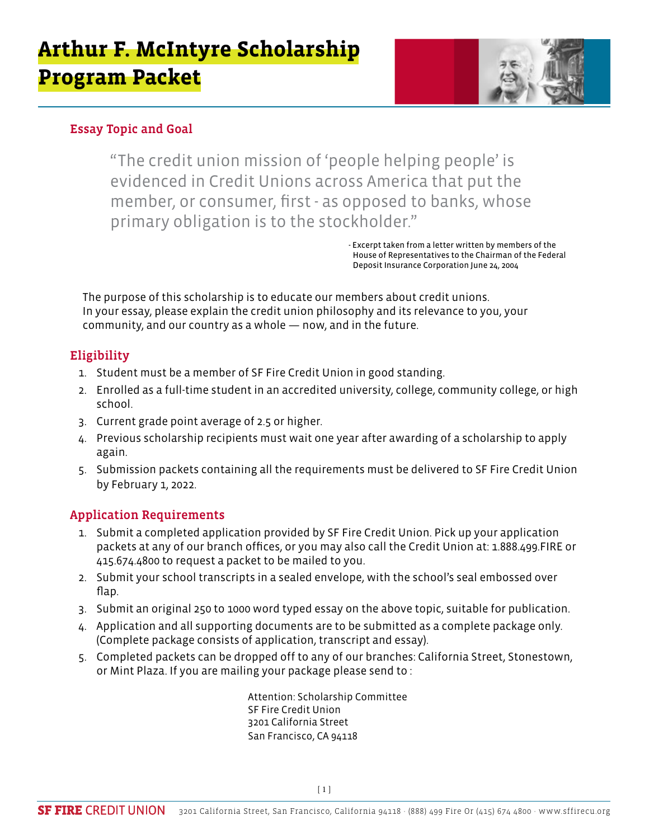

### Essay Topic and Goal

"The credit union mission of 'people helping people' is evidenced in Credit Unions across America that put the member, or consumer, first - as opposed to banks, whose primary obligation is to the stockholder."

> - Excerpt taken from a letter written by members of the House of Representatives to the Chairman of the Federal Deposit Insurance Corporation June 24, 2004

The purpose of this scholarship is to educate our members about credit unions. In your essay, please explain the credit union philosophy and its relevance to you, your community, and our country as a whole — now, and in the future.

### Eligibility

- 1. Student must be a member of SF Fire Credit Union in good standing.
- 2. Enrolled as a full-time student in an accredited university, college, community college, or high school.
- 3. Current grade point average of 2.5 or higher.
- 4. Previous scholarship recipients must wait one year after awarding of a scholarship to apply again.
- 5. Submission packets containing all the requirements must be delivered to SF Fire Credit Union by February 1, 2022.

### Application Requirements

- 1. Submit a completed application provided by SF Fire Credit Union. Pick up your application packets at any of our branch offices, or you may also call the Credit Union at: 1.888.499.FIRE or 415.674.4800 to request a packet to be mailed to you.
- 2. Submit your school transcripts in a sealed envelope, with the school's seal embossed over flap.
- 3. Submit an original 250 to 1000 word typed essay on the above topic, suitable for publication.
- 4. Application and all supporting documents are to be submitted as a complete package only. (Complete package consists of application, transcript and essay).
- 5. Completed packets can be dropped off to any of our branches: California Street, Stonestown, or Mint Plaza. If you are mailing your package please send to :

Attention: Scholarship Committee SF Fire Credit Union 3201 California Street San Francisco, CA 94118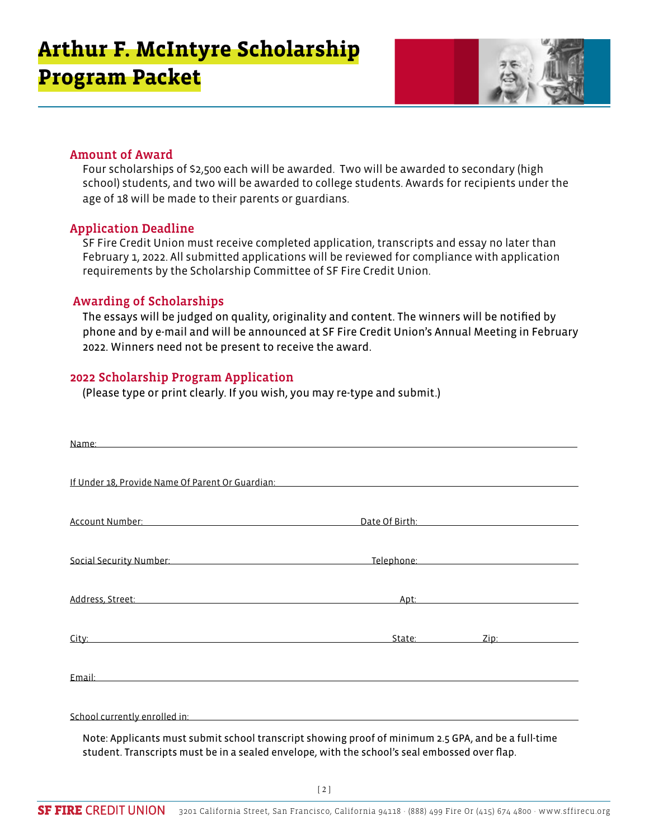

#### Amount of Award

Four scholarships of \$2,500 each will be awarded. Two will be awarded to secondary (high school) students, and two will be awarded to college students. Awards for recipients under the age of 18 will be made to their parents or guardians.

#### Application Deadline

SF Fire Credit Union must receive completed application, transcripts and essay no later than February 1, 2022. All submitted applications will be reviewed for compliance with application requirements by the Scholarship Committee of SF Fire Credit Union.

#### Awarding of Scholarships

The essays will be judged on quality, originality and content. The winners will be notified by phone and by e-mail and will be announced at SF Fire Credit Union's Annual Meeting in February 2022. Winners need not be present to receive the award.

#### 2022 Scholarship Program Application

(Please type or print clearly. If you wish, you may re-type and submit.)

| Name: Name:                                                                                                                                                                                                                    |             |                                            |
|--------------------------------------------------------------------------------------------------------------------------------------------------------------------------------------------------------------------------------|-------------|--------------------------------------------|
| If Under 18, Provide Name Of Parent Or Guardian: Name of Parent Art and Art and Art and Art and Art and Art an                                                                                                                 |             |                                            |
| Account Number: National Account Number 2014                                                                                                                                                                                   |             | Date Of Birth: National Property of Birth: |
| Social Security Number: National According to the Control of Telephone: National According to the Control of Telephone: National According to the Control of the Control of the Control of Telephone: National According to th |             |                                            |
| Address, Street: Address, Street:                                                                                                                                                                                              |             |                                            |
| City: and the contract of the contract of the contract of the contract of the contract of the contract of the contract of the contract of the contract of the contract of the contract of the contract of the contract of the  | State: 2008 | Zip: 2008                                  |
|                                                                                                                                                                                                                                |             |                                            |
| School currently enrolled in: example and the state of the state of the state of the state of the state of the<br>Note: Applicants must submit school transcript showing proof of minimum 2.5 GPA, and be a full-time          |             |                                            |

student. Transcripts must be in a sealed envelope, with the school's seal embossed over flap.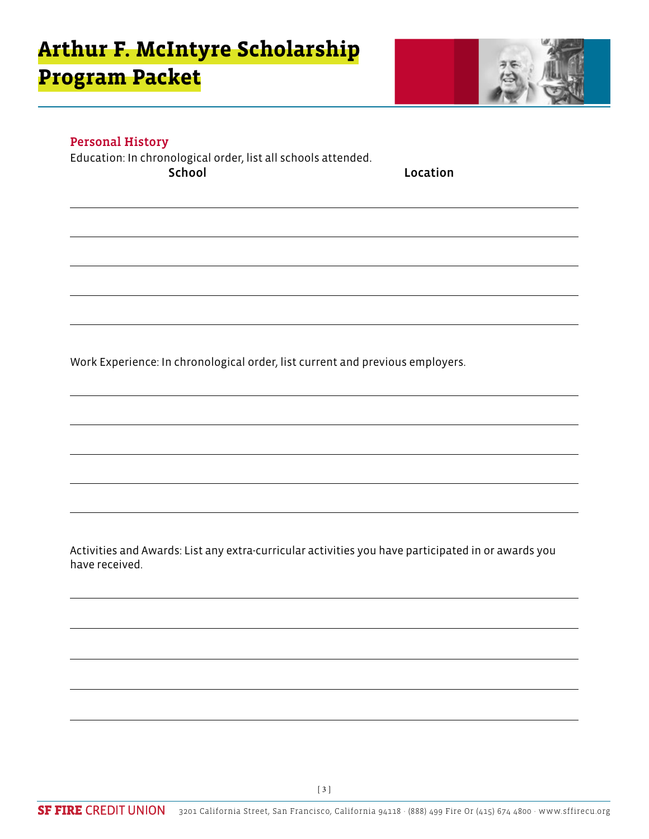

#### Personal History

Education: In chronological order, list all schools attended. School **Location** 

Work Experience: In chronological order, list current and previous employers.

Activities and Awards: List any extra-curricular activities you have participated in or awards you have received.